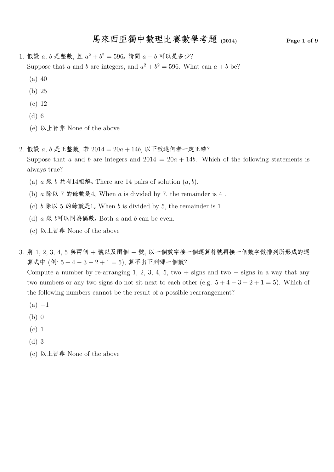## 馬來西亞獨中數理比賽數學考題 (2014) Page 1 of 9

1. 假設  $a, b$  是整數, 且  $a^2 + b^2 = 596$ 。 請問  $a + b$  可以是多少? Suppose that a and b are integers, and  $a^2 + b^2 = 596$ . What can  $a + b$  be?

- (a) 40
- (b) 25
- (c) 12
- (d) 6
- (e) 以上皆非 None of the above
- $2.$  假設  $a, b$  是正整數, 若  $2014 = 20a + 14b$ , 以下敘述何者一定正確? Suppose that a and b are integers and  $2014 = 20a + 14b$ . Which of the following statements is always true?
	- (a)  $a \ncong b \ncong 144444$   $\mathfrak{R}$ . There are 14 pairs of solution  $(a, b)$ .
	- (b)  $a \& \vee \vee 7$  的餘數是 $4$ . When  $a$  is divided by 7, the remainder is  $4$ .
	- (c)  $b \& \& \& 5$  的餘數是1。 When  $b$  is divided by 5, the remainder is 1.
	- (d)  $a \nbox{ 1\normalfont{\#}} b \nbox{ 1\normalfont{\#}} \nbox{ 1\normalfont{\#}} \nbox{ 1\normalfont{\#}} \nbox{ 1\normalfont{\#}} b$  and  $b \nbox{ 1\normalfont{\#}} b$  even.
	- (e) 以上皆非 None of the above
- $3.$  將  $1, 2, 3, 4, 5$  與兩個 + 號以及兩個 號, 以一個數字接一個運算符號再接一個數字做排列所形成的運 算式中 (例: 5 + 4 − 3 − 2 + 1 = 5), 算不出下列哪一個數?

Compute a number by re-arranging 1, 2, 3, 4, 5, two + signs and two  $-$  signs in a way that any two numbers or any two signs do not sit next to each other (e.g.  $5+4-3-2+1=5$ ). Which of the following numbers cannot be the result of a possible rearrangement?

- $(a) -1$
- (b) 0
- (c) 1
- (d) 3
- (e) 以上皆非 None of the above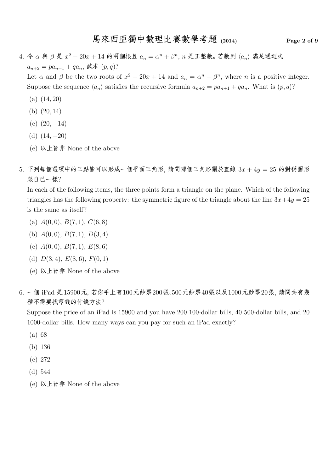#### 馬來西亞獨中數理比賽數學考題 (2014) Page 2 of 9

 $4.$   $\diamond$   $\alpha$  與  $\beta$  是  $x^2 - 20x + 14$  的兩個根且  $a_n = \alpha^n + \beta^n$ ,  $n$  是正整數。若數列  $\langle a_n \rangle$  滿足遞迴式  $a_{n+2} = pa_{n+1} + qa_n$ , 試求  $(p, q)$ ? Let  $\alpha$  and  $\beta$  be the two roots of  $x^2 - 20x + 14$  and  $a_n = \alpha^n + \beta^n$ , where n is a positive integer. Suppose the sequence  $\langle a_n \rangle$  satisfies the recursive formula  $a_{n+2} = pa_{n+1} + qa_n$ . What is  $(p, q)$ ? (a) (14, 20)

- (b) (20, 14)
- (c)  $(20, -14)$
- (d)  $(14, -20)$
- (e) 以上皆非 None of the above
- $5.$  下列每個選項中的三點皆可以形成一個平面三角形, 請問哪個三角形關於直線  $3x + 4y = 25$  的對稱圖形 跟自己一樣?

In each of the following items, the three points form a triangle on the plane. Which of the following triangles has the following property: the symmetric figure of the triangle about the line  $3x+4y=25$ is the same as itself?

- (a)  $A(0,0), B(7,1), C(6,8)$
- (b)  $A(0,0), B(7,1), D(3,4)$
- (c)  $A(0,0), B(7,1), E(8,6)$
- (d)  $D(3,4), E(8,6), F(0,1)$
- (e) 以上皆非 None of the above
- 6. 一個 iPad 是15900元, 若你手上有100元鈔票200張、500元鈔票40張以及1000元鈔票20張, 請問共有幾 種不需要找零錢的付錢方法?

Suppose the price of an iPad is 15900 and you have 200 100-dollar bills, 40 500-dollar bills, and 20 1000-dollar bills. How many ways can you pay for such an iPad exactly?

- (a) 68
- (b) 136
- (c) 272
- (d) 544
- (e) 以上皆非 None of the above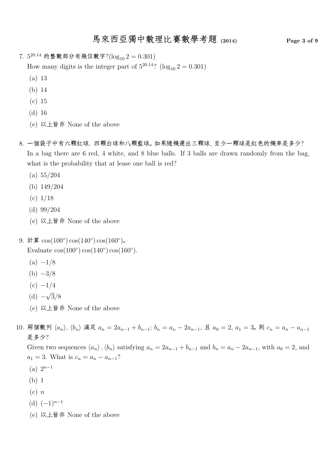## 馬來西亞獨中數理比賽數學考題 (2014) Page 3 of 9

7.  $5^{20.14}$  的整數部分有幾位數字? $(\log_{10} 2 = 0.301)$ 

How many digits is the integer part of  $5^{20.14}$ ? (log<sub>10</sub> 2 = 0.301)

- (a) 13
- (b) 14
- (c) 15
- (d) 16
- (e) 以上皆非 None of the above
- 8. 一個袋子中有六顆紅球、四顆白球和八顆藍球。如果隨機選出三顆球, 至少一顆球是紅色的機率是多少? In a bag there are 6 red, 4 white, and 8 blue balls. If 3 balls are drawn randomly from the bag, what is the probability that at lease one ball is red?
	- (a) 55/204
	- (b) 149/204
	- $(c)$  1/18
	- (d) 99/204
	- (e) 以上皆非 None of the above
- 9. 計算  $\cos(100^\circ)\cos(140^\circ)\cos(160^\circ)$ 。 Evaluate  $cos(100^\circ) cos(140^\circ) cos(160^\circ)$ .
	- $(a) -1/8$
	- $(b) -3/8$
	- $(c) -1/4$
	- $(d) -$ √ 3/8
	- (e) 以上皆非 None of the above
- 10. 兩個數列  $\langle a_n \rangle$ ,  $\langle b_n \rangle$  滿足  $a_n = 2a_{n-1} + b_{n-1}$ ;  $b_n = a_n 2a_{n-1}$ , 且  $a_0 = 2$ ,  $a_1 = 3$ 。則  $c_n = a_n a_{n-1}$ 是多少?

Given two sequences  $\langle a_n \rangle$ ,  $\langle b_n \rangle$  satisfying  $a_n = 2a_{n-1} + b_{n-1}$  and  $b_n = a_n - 2a_{n-1}$ , with  $a_0 = 2$ , and  $a_1 = 3$ . What is  $c_n = a_n - a_{n-1}$ ?

- $(a)$   $2^{n-1}$
- (b) 1
- $(c)$  n
- (d)  $(-1)^{n-1}$
- (e) 以上皆非 None of the above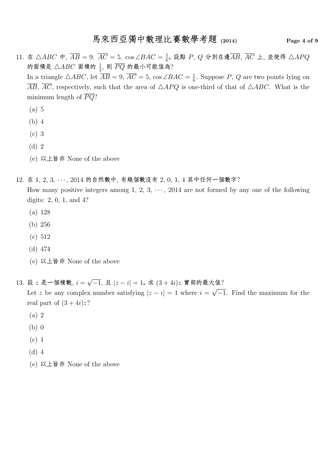- 11.  $\text{\textsterling} \triangle ABC \neq \overline{AB} = 9$ ,  $\overline{AC} = 5$ ,  $\cos \angle BAC = \frac{1}{6}$  $\frac{1}{6}$ 。設點  $P, \, Q \,$ 分別在邊 $\overline{AB}, \, \overline{AC}$  上, 並使得  $\triangle APQ$ 的面積是  $\triangle ABC$  面積的  $\frac{1}{3}$ , 則  $\overline{PQ}$  的最小可能值為? In a triangle  $\triangle ABC$ , let  $\overline{AB} = 9$ ,  $\overline{AC} = 5$ , cos  $\angle BAC = \frac{1}{6}$  $\frac{1}{6}$ . Suppose P, Q are two points lying on  $\overline{AB}$ ,  $\overline{AC}$ , respectively, such that the area of  $\triangle APQ$  is one-third of that of  $\triangle ABC$ . What is the minimum length of  $\overline{PQ}$ ?
	- (a) 5
	- (b) 4
	- (c) 3
	- (d) 2
	- (e) 以上皆非 None of the above
- 12. 在 1, 2, 3, · · · , 2014 的自然數中, 有幾個數沒有 2, 0, 1, 4 其中任何一個數字?

How many positive integers among 1, 2, 3,  $\cdots$ , 2014 are not formed by any one of the following digits: 2, 0, 1, and 4?

- (a) 128
- (b) 256
- (c) 512
- (d) 474
- (e) 以上皆非 None of the above
- 13. 設  $z$  是一個複數,  $i = \sqrt{-1}$ , 且  $|z i| = 1$ 。求  $(3 + 4i)z$  實部的最大值? Let z be any complex number satisfying  $|z - i| = 1$  where  $i =$ √ −1. Find the maximum for the real part of  $(3+4i)z$ ?
	- (a) 2
	- (b) 0
	- (c) 1
	- (d) 4
	- (e) 以上皆非 None of the above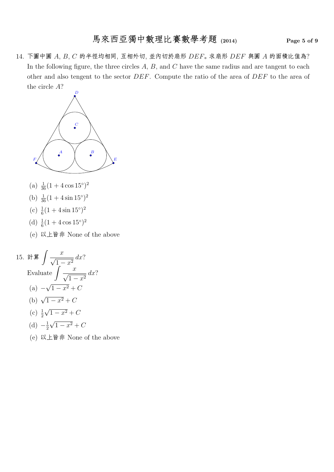# 馬來西亞獨中數理比賽數學考題 (2014) Page 5 of 9

14. 下圖中圓  $A, B, C$  的半徑均相同, 互相外切, 並內切於扇形  $DEF$ 。求扇形  $DEF$  與圓  $A$  的面積比值為? In the following figure, the three circles  $A, B$ , and  $C$  have the same radius and are tangent to each other and also tengent to the sector DEF. Compute the ratio of the area of DEF to the area of the circle A?



- (a)  $\frac{1}{36} (1 + 4 \cos 15^\circ)^2$
- (b)  $\frac{1}{36} (1 + 4 \sin 15^\circ)^2$
- (c)  $\frac{1}{6}(1+4\sin 15^\circ)^2$
- (d)  $\frac{1}{6}(1+4\cos 15^\circ)^2$
- (e) 以上皆非 None of the above

15. 
$$
\Rightarrow \oint \oint \frac{x}{\sqrt{1-x^2}} dx?
$$
  
Evaluate  $\int \frac{x}{\sqrt{1-x^2}} dx?$   
(a)  $-\sqrt{1-x^2} + C$   
(b)  $\sqrt{1-x^2} + C$   
(c)  $\frac{1}{2}\sqrt{1-x^2} + C$   
(d)  $-\frac{1}{2}\sqrt{1-x^2} + C$ 

(e) 以上皆非 None of the above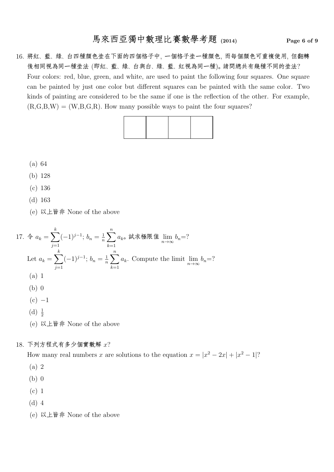16. 將紅、藍、綠、白四種顏色塗在下面的四個格子中, 一個格子塗一種顏色, 而每個顏色可重複使用, 但翻轉 後相同視為同一種塗法 (即紅、藍、綠、白與白、綠、藍、紅視為同一種)。請問總共有幾種不同的塗法? Four colors: red, blue, green, and white, are used to paint the following four squares. One square can be painted by just one color but different squares can be painted with the same color. Two kinds of painting are considered to be the same if one is the reflection of the other. For example,  $(R, G, B, W) = (W, B, G, R)$ . How many possible ways to paint the four squares?



- (a) 64
- (b) 128
- (c) 136
- (d) 163
- (e) 以上皆非 None of the above

17. 
$$
\oint a_k = \sum_{j=1}^k (-1)^{j-1}; \, b_n = \frac{1}{n} \sum_{k=1}^n a_k \text{ at } k \text{ in } b_n = ?
$$

\nLet 
$$
a_k = \sum_{j=1}^k (-1)^{j-1}; \, b_n = \frac{1}{n} \sum_{k=1}^n a_k.
$$
 Compute the limit 
$$
\lim_{n \to \infty} b_n = ?
$$

\n(a) 1

\n(b) 0

\n(c) -1

\n(d) 
$$
\frac{1}{2}
$$

\n(e) 
$$
\forall k \text{ if } k \text{ None of the above}
$$

#### 18. 下列方程式有多少個實數解 x?

How many real numbers x are solutions to the equation  $x = |x^2 - 2x| + |x^2 - 1|$ ?

- (a) 2
- (b) 0
- (c) 1
- (d) 4
- (e) 以上皆非 None of the above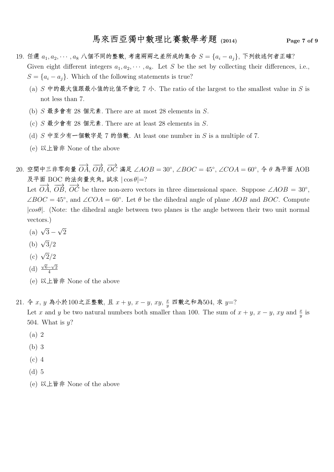- 19. 任選  $a_1, a_2, \dots, a_8$  八個不同的整數, 考慮兩兩之差所成的集合  $S = \{a_i a_j\}$ , 下列敘述何者正確? Given eight different integers  $a_1, a_2, \cdots, a_8$ . Let S be the set by collecting their differences, i.e.,  $S = \{a_i - a_j\}$ . Which of the following statements is true?
	- (a)  $S$  中的最大值跟最小值的比值不會比 7 小. The ratio of the largest to the smallest value in  $S$  is not less than 7.
	- (b)  $S$  最多會有 28 個元素. There are at most 28 elements in  $S$ .
	- (c)  $S \cong \psi \circ \pi$  4 28 個元素. There are at least 28 elements in S.
	- (d)  $S$  中至少有一個數字是 7 的倍數. At least one number in  $S$  is a multiple of 7.
	- (e) 以上皆非 None of the above
- $20.$  空間中三非零向量  $\overrightarrow{OA}, \overrightarrow{OB}, \overrightarrow{OC}$  滿足 ∠AOB =  $30^\circ$ , ∠BOC =  $45^\circ$ , ∠COA =  $60^\circ,$  令 θ 為平面 AOB 及平面 BOC 的法向量夾角。 試求  $|\cos \theta| = ?$

Let  $\overrightarrow{OA}$ ,  $\overrightarrow{OB}$ ,  $\overrightarrow{OC}$  be three non-zero vectors in three dimensional space. Suppose ∠AOB = 30°,  $\angle BOC = 45^{\circ}$ , and  $\angle COA = 60^{\circ}$ . Let  $\theta$  be the dihedral angle of plane AOB and BOC. Compute  $|cos\theta|$ . (Note: the dihedral angle between two planes is the angle between their two unit normal vectors.)

- (a)  $\sqrt{3}$  √ 2
- (b)  $\sqrt{3}/2$
- (c)  $\sqrt{2}/2$
- (d)  $\sqrt{6}-\sqrt{2}$ 4
- (e) 以上皆非 None of the above
- 21. 令  $x, y$ 為小於100之正整數, 且  $x + y, x y, xy, \frac{x}{y}$  $\frac{x}{y}$  四數之和為504, 求  $y=$ ? Let x and y be two natural numbers both smaller than 100. The sum of  $x + y$ ,  $x - y$ , xy and  $\frac{x}{y}$  is 504. What is  $y$ ?
	- (a) 2
	- (b) 3
	- (c) 4
	- (d) 5
	- (e) 以上皆非 None of the above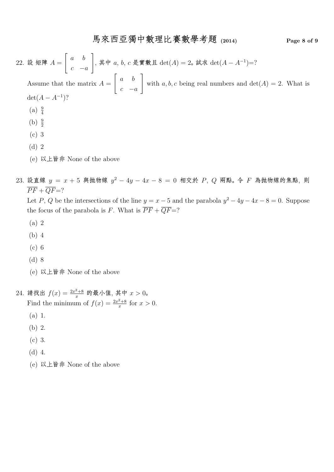$22.$  設 矩陣  $A =$  $\begin{bmatrix} a & b \end{bmatrix}$  $c - a$ 1 , 其中  $a, b, c$  是實數且  $det(A) = 2$ 。 試求  $det(A - A^{-1}) = ?$ Assume that the matrix  $A =$  $\begin{bmatrix} a & b \end{bmatrix}$  $c - a$ 1 with  $a, b, c$  being real numbers and  $\det(A) = 2$ . What is  $\det(A - A^{-1})$ ?  $(a) \frac{9}{4}$ (b)  $\frac{9}{2}$ (c) 3 (d) 2 (e) 以上皆非 None of the above

23. 設直線  $y = x + 5$  與抛物線  $y^2 - 4y - 4x - 8 = 0$  相交於 P, Q 兩點。令 F 為抛物線的焦點, 則  $\overline{PF} + \overline{OF} = ?$ 

Let P, Q be the intersections of the line  $y = x - 5$  and the parabola  $y^2 - 4y - 4x - 8 = 0$ . Suppose the focus of the parabola is F. What is  $\overline{PF} + \overline{QF} = ?$ 

- (a) 2
- (b) 4
- (c) 6
- (d) 8
- (e) 以上皆非 None of the above
- 24. 請找出  $f(x) = \frac{2x^2 + 8}{x}$  的最小值, 其中  $x > 0$ 。 Find the minimum of  $f(x) = \frac{2x^2 + 8}{x}$  $\frac{z+8}{x}$  for  $x > 0$ .
	- (a) 1.
	- (b) 2.
	- (c) 3.
	- (d) 4.
	- (e) 以上皆非 None of the above